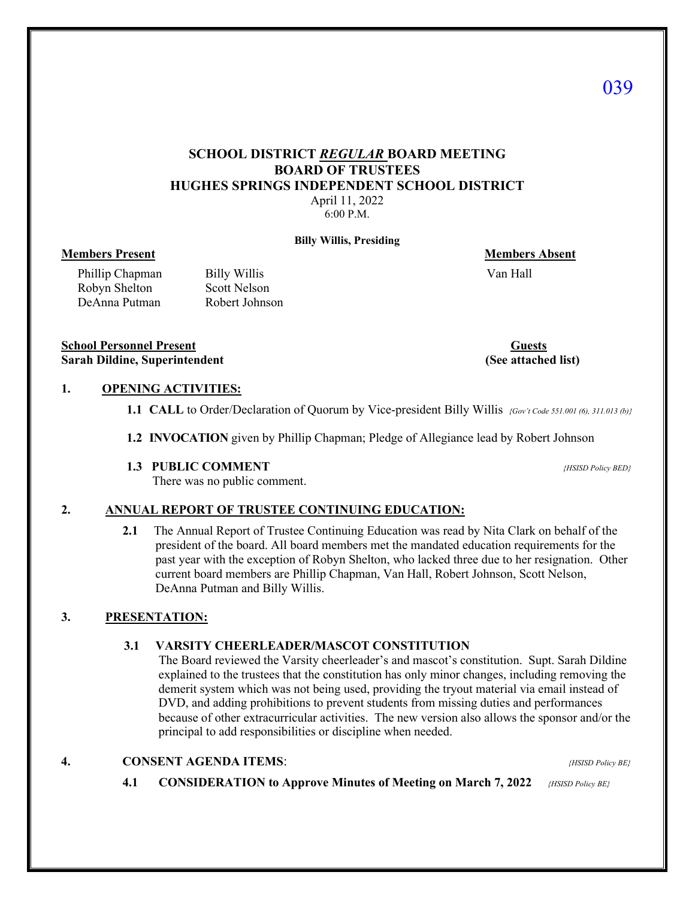# **SCHOOL DISTRICT** *REGULAR* **BOARD MEETING BOARD OF TRUSTEES HUGHES SPRINGS INDEPENDENT SCHOOL DISTRICT**

April 11, 2022 6:00 P.M.

**Billy Willis, Presiding**

### **Members Present Community Community Community Community Community Community Community Community Community Community Community Community Community Community Community Community Community Community Community Community Commu**

Phillip Chapman Billy Willis Van Hall Robyn Shelton Scott Nelson Robyn Shelton DeAnna Putman Robert Johnson

**School Personnel Present Guests Sarah Dildine, Superintendent (See attached list) (See attached list)** 

## **1. OPENING ACTIVITIES:**

- **1.1 CALL** to Order/Declaration of Quorum by Vice-president Billy Willis *{Gov't Code 551.001 (6), 311.013 (b)}*
- **1.2 INVOCATION** given by Phillip Chapman; Pledge of Allegiance lead by Robert Johnson
- **1.3 PUBLIC COMMENT** *{HSISD Policy BED}*

There was no public comment.

### **2. ANNUAL REPORT OF TRUSTEE CONTINUING EDUCATION:**

 **2.1** The Annual Report of Trustee Continuing Education was read by Nita Clark on behalf of the president of the board. All board members met the mandated education requirements for the past year with the exception of Robyn Shelton, who lacked three due to her resignation. Other current board members are Phillip Chapman, Van Hall, Robert Johnson, Scott Nelson, DeAnna Putman and Billy Willis.

## **3. PRESENTATION:**

#### **3.1 VARSITY CHEERLEADER/MASCOT CONSTITUTION**

The Board reviewed the Varsity cheerleader's and mascot's constitution. Supt. Sarah Dildine explained to the trustees that the constitution has only minor changes, including removing the demerit system which was not being used, providing the tryout material via email instead of DVD, and adding prohibitions to prevent students from missing duties and performances because of other extracurricular activities. The new version also allows the sponsor and/or the principal to add responsibilities or discipline when needed.

### **4. CONSENT AGENDA ITEMS**: *{HSISD Policy BE}*

 **4.1 CONSIDERATION to Approve Minutes of Meeting on March 7, 2022** *{HSISD Policy BE}*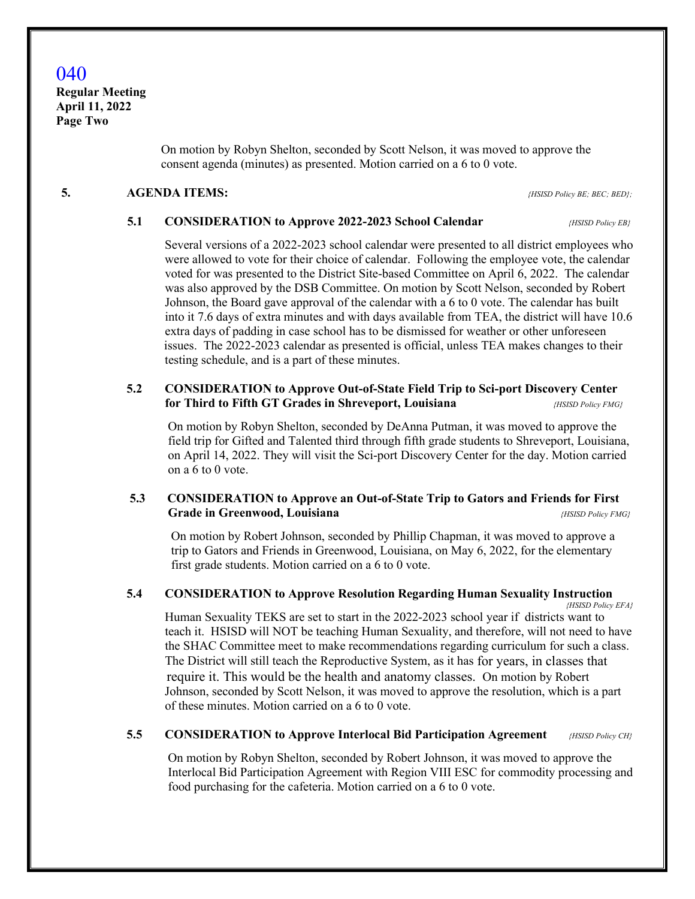# 040

**Regular Meeting April 11, 2022 Page Two** 

> On motion by Robyn Shelton, seconded by Scott Nelson, it was moved to approve the consent agenda (minutes) as presented. Motion carried on a 6 to 0 vote.

#### **5. AGENDA ITEMS:** *{HSISD Policy BE; BEC; BED};*

#### **5.1 CONSIDERATION to Approve 2022-2023 School Calendar** *{HSISD Policy EB}*

 Several versions of a 2022-2023 school calendar were presented to all district employees who were allowed to vote for their choice of calendar. Following the employee vote, the calendar voted for was presented to the District Site-based Committee on April 6, 2022. The calendar was also approved by the DSB Committee. On motion by Scott Nelson, seconded by Robert Johnson, the Board gave approval of the calendar with a 6 to 0 vote. The calendar has built into it 7.6 days of extra minutes and with days available from TEA, the district will have 10.6 extra days of padding in case school has to be dismissed for weather or other unforeseen issues. The 2022-2023 calendar as presented is official, unless TEA makes changes to their testing schedule, and is a part of these minutes.

# **5.2 CONSIDERATION to Approve Out-of-State Field Trip to Sci-port Discovery Center for Third to Fifth GT Grades in Shreveport, Louisiana** *{HSISD Policy FMG}*

 On motion by Robyn Shelton, seconded by DeAnna Putman, it was moved to approve the field trip for Gifted and Talented third through fifth grade students to Shreveport, Louisiana, on April 14, 2022. They will visit the Sci-port Discovery Center for the day. Motion carried on a 6 to 0 vote.

## **5.3 CONSIDERATION to Approve an Out-of-State Trip to Gators and Friends for First Grade in Greenwood, Louisiana** *ABSISD Policy FMG***<sup>***ABSISD Policy FMG***<sup>***ABSISD Policy FMG***<sup>***ABSISD Policy FMG***<sup>***ABSISD Policy FMG***<sup>***ABSISD Policy FMG***<sup>***ABSISD Policy FMG***<sup>***ABSISD Policy FMG***<sup>***ABSISD Policy FMG***<sup>***ABSISD P</sup></sup></sup></sup></sup></sup></sup></sup></sup>*

 On motion by Robert Johnson, seconded by Phillip Chapman, it was moved to approve a trip to Gators and Friends in Greenwood, Louisiana, on May 6, 2022, for the elementary first grade students. Motion carried on a 6 to 0 vote.

### **5.4 CONSIDERATION to Approve Resolution Regarding Human Sexuality Instruction**

*{HSISD Policy EFA}*

 Human Sexuality TEKS are set to start in the 2022-2023 school year if districts want to teach it. HSISD will NOT be teaching Human Sexuality, and therefore, will not need to have the SHAC Committee meet to make recommendations regarding curriculum for such a class. The District will still teach the Reproductive System, as it has for years, in classes that require it. This would be the health and anatomy classes. On motion by Robert Johnson, seconded by Scott Nelson, it was moved to approve the resolution, which is a part of these minutes. Motion carried on a 6 to 0 vote.

# **5.5 CONSIDERATION to Approve Interlocal Bid Participation Agreement** *{HSISD Policy CH}*

 On motion by Robyn Shelton, seconded by Robert Johnson, it was moved to approve the Interlocal Bid Participation Agreement with Region VIII ESC for commodity processing and food purchasing for the cafeteria. Motion carried on a 6 to 0 vote.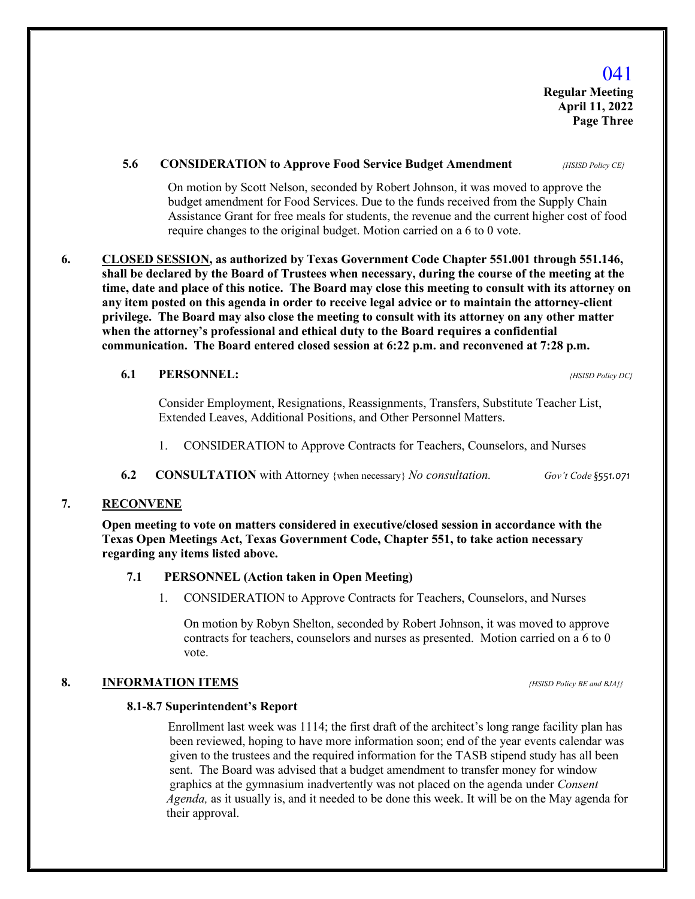### **5.6 CONSIDERATION to Approve Food Service Budget Amendment** *{HSISD Policy CE}*

 On motion by Scott Nelson, seconded by Robert Johnson, it was moved to approve the budget amendment for Food Services. Due to the funds received from the Supply Chain Assistance Grant for free meals for students, the revenue and the current higher cost of food require changes to the original budget. Motion carried on a 6 to 0 vote.

**6. CLOSED SESSION, as authorized by Texas Government Code Chapter 551.001 through 551.146, shall be declared by the Board of Trustees when necessary, during the course of the meeting at the time, date and place of this notice. The Board may close this meeting to consult with its attorney on any item posted on this agenda in order to receive legal advice or to maintain the attorney-client privilege. The Board may also close the meeting to consult with its attorney on any other matter when the attorney's professional and ethical duty to the Board requires a confidential communication. The Board entered closed session at 6:22 p.m. and reconvened at 7:28 p.m.**

#### **6.1 PERSONNEL:** *{HSISD Policy DC}*

 Consider Employment, Resignations, Reassignments, Transfers, Substitute Teacher List, Extended Leaves, Additional Positions, and Other Personnel Matters.

- 1. CONSIDERATION to Approve Contracts for Teachers, Counselors, and Nurses
- **6.2 CONSULTATION** with Attorney {when necessary} *No consultation. Gov't Code §551.071*

### **7. RECONVENE**

 **Open meeting to vote on matters considered in executive/closed session in accordance with the Texas Open Meetings Act, Texas Government Code, Chapter 551, to take action necessary regarding any items listed above.** 

#### **7.1 PERSONNEL (Action taken in Open Meeting)**

1. CONSIDERATION to Approve Contracts for Teachers, Counselors, and Nurses

 On motion by Robyn Shelton, seconded by Robert Johnson, it was moved to approve contracts for teachers, counselors and nurses as presented. Motion carried on a 6 to 0 vote.

### **8. INFORMATION ITEMS** *{HSISD Policy BE and BJA}}*

#### **8.1-8.7 Superintendent's Report**

 Enrollment last week was 1114; the first draft of the architect's long range facility plan has been reviewed, hoping to have more information soon; end of the year events calendar was given to the trustees and the required information for the TASB stipend study has all been sent. The Board was advised that a budget amendment to transfer money for window graphics at the gymnasium inadvertently was not placed on the agenda under *Consent Agenda,* as it usually is, and it needed to be done this week. It will be on the May agenda for their approval.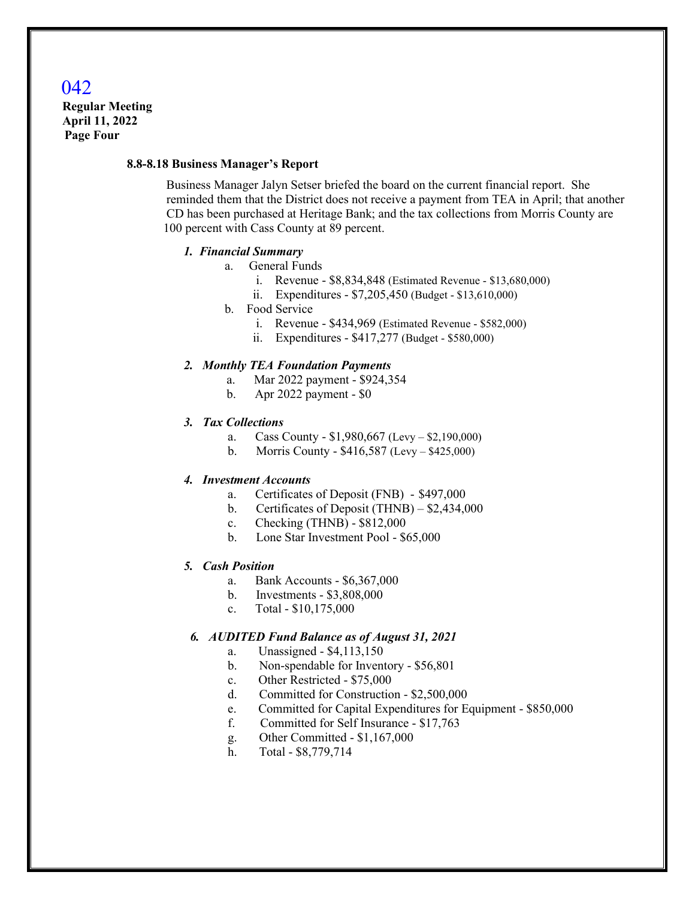# 042

 **Regular Meeting April 11, 2022 Page Four**

#### **8.8-8.18 Business Manager's Report**

 Business Manager Jalyn Setser briefed the board on the current financial report. She reminded them that the District does not receive a payment from TEA in April; that another CD has been purchased at Heritage Bank; and the tax collections from Morris County are 100 percent with Cass County at 89 percent.

#### *1. Financial Summary*

- a. General Funds
	- i. Revenue \$8,834,848 (Estimated Revenue \$13,680,000)
	- ii. Expenditures \$7,205,450 (Budget \$13,610,000)
- b. Food Service
	- i. Revenue \$434,969 (Estimated Revenue \$582,000)
	- ii. Expenditures \$417,277 (Budget \$580,000)

#### *2. Monthly TEA Foundation Payments*

- a. Mar 2022 payment \$924,354
- b. Apr 2022 payment \$0

#### *3. Tax Collections*

- a. Cass County \$1,980,667 (Levy \$2,190,000)
- b. Morris County \$416,587 (Levy \$425,000)

#### *4. Investment Accounts*

- a. Certificates of Deposit (FNB) \$497,000
- b. Certificates of Deposit (THNB) \$2,434,000
- c. Checking (THNB) \$812,000
- b. Lone Star Investment Pool \$65,000

#### *5. Cash Position*

- a. Bank Accounts \$6,367,000
- b. Investments \$3,808,000
- c. Total \$10,175,000

## *6. AUDITED Fund Balance as of August 31, 2021*

- a. Unassigned \$4,113,150
- b. Non-spendable for Inventory \$56,801
- c. Other Restricted \$75,000
- d. Committed for Construction \$2,500,000
- e. Committed for Capital Expenditures for Equipment \$850,000
- f. Committed for Self Insurance \$17,763
- g. Other Committed \$1,167,000
- h. Total \$8,779,714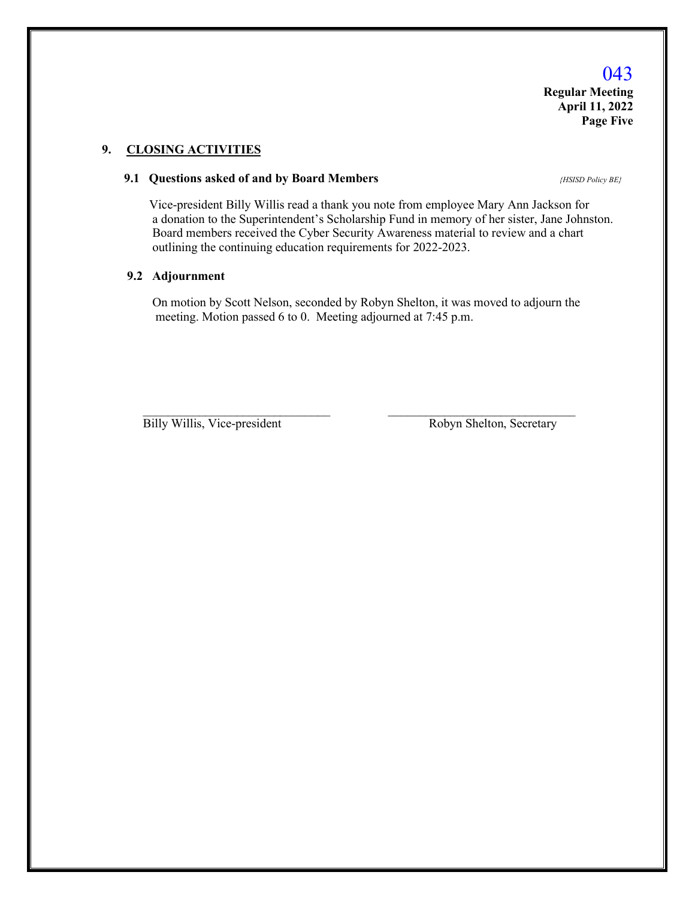**Regular Meeting April 11, 2022 Page Five**

# **9. CLOSING ACTIVITIES**

### **9.1 Questions asked of and by Board Members** *{HSISD Policy BE}*

 Vice-president Billy Willis read a thank you note from employee Mary Ann Jackson for a donation to the Superintendent's Scholarship Fund in memory of her sister, Jane Johnston. Board members received the Cyber Security Awareness material to review and a chart outlining the continuing education requirements for 2022-2023.

#### **9.2 Adjournment**

On motion by Scott Nelson, seconded by Robyn Shelton, it was moved to adjourn the meeting. Motion passed 6 to 0. Meeting adjourned at 7:45 p.m.

 $\mathcal{L}_\text{max} = \frac{1}{2} \sum_{i=1}^n \mathcal{L}_\text{max} \left[ \mathcal{L}_\text{max} \left( \mathcal{L}_\text{max} \right) - \mathcal{L}_\text{max} \left( \mathcal{L}_\text{max} \right) \right]$ 

Billy Willis, Vice-president Robyn Shelton, Secretary

# 043